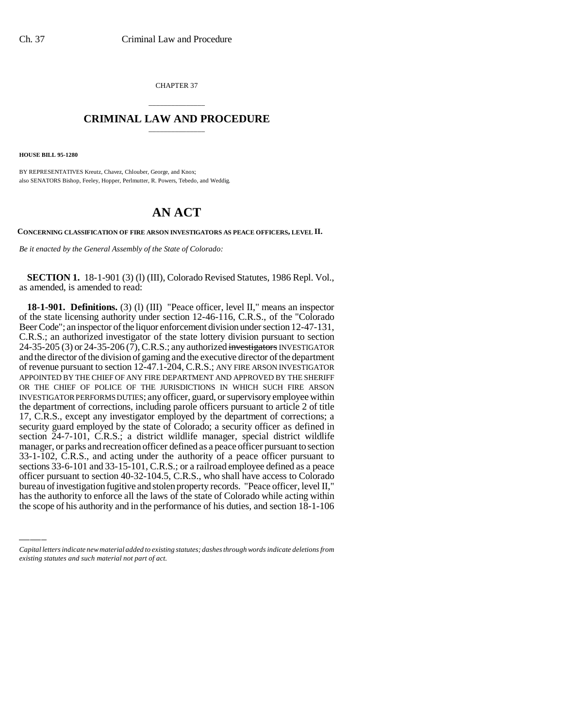CHAPTER 37

## \_\_\_\_\_\_\_\_\_\_\_\_\_\_\_ **CRIMINAL LAW AND PROCEDURE** \_\_\_\_\_\_\_\_\_\_\_\_\_\_\_

**HOUSE BILL 95-1280**

BY REPRESENTATIVES Kreutz, Chavez, Chlouber, George, and Knox; also SENATORS Bishop, Feeley, Hopper, Perlmutter, R. Powers, Tebedo, and Weddig.

## **AN ACT**

**CONCERNING CLASSIFICATION OF FIRE ARSON INVESTIGATORS AS PEACE OFFICERS, LEVEL II.**

*Be it enacted by the General Assembly of the State of Colorado:*

**SECTION 1.** 18-1-901 (3) (l) (III), Colorado Revised Statutes, 1986 Repl. Vol., as amended, is amended to read:

sections 55-6-101 and 55-15-101, C.R.S.; or a ratificad employee defined as a peace<br>officer pursuant to section 40-32-104.5, C.R.S., who shall have access to Colorado **18-1-901. Definitions.** (3) (l) (III) "Peace officer, level II," means an inspector of the state licensing authority under section 12-46-116, C.R.S., of the "Colorado Beer Code"; an inspector of the liquor enforcement division under section 12-47-131, C.R.S.; an authorized investigator of the state lottery division pursuant to section 24-35-205 (3) or 24-35-206 (7), C.R.S.; any authorized investigators INVESTIGATOR and the director of the division of gaming and the executive director of the department of revenue pursuant to section 12-47.1-204, C.R.S.; ANY FIRE ARSON INVESTIGATOR APPOINTED BY THE CHIEF OF ANY FIRE DEPARTMENT AND APPROVED BY THE SHERIFF OR THE CHIEF OF POLICE OF THE JURISDICTIONS IN WHICH SUCH FIRE ARSON INVESTIGATOR PERFORMS DUTIES; any officer, guard, or supervisory employee within the department of corrections, including parole officers pursuant to article 2 of title 17, C.R.S., except any investigator employed by the department of corrections; a security guard employed by the state of Colorado; a security officer as defined in section 24-7-101, C.R.S.; a district wildlife manager, special district wildlife manager, or parks and recreation officer defined as a peace officer pursuant to section 33-1-102, C.R.S., and acting under the authority of a peace officer pursuant to sections 33-6-101 and 33-15-101, C.R.S.; or a railroad employee defined as a peace bureau of investigation fugitive and stolen property records. "Peace officer, level II," has the authority to enforce all the laws of the state of Colorado while acting within the scope of his authority and in the performance of his duties, and section 18-1-106

*Capital letters indicate new material added to existing statutes; dashes through words indicate deletions from existing statutes and such material not part of act.*